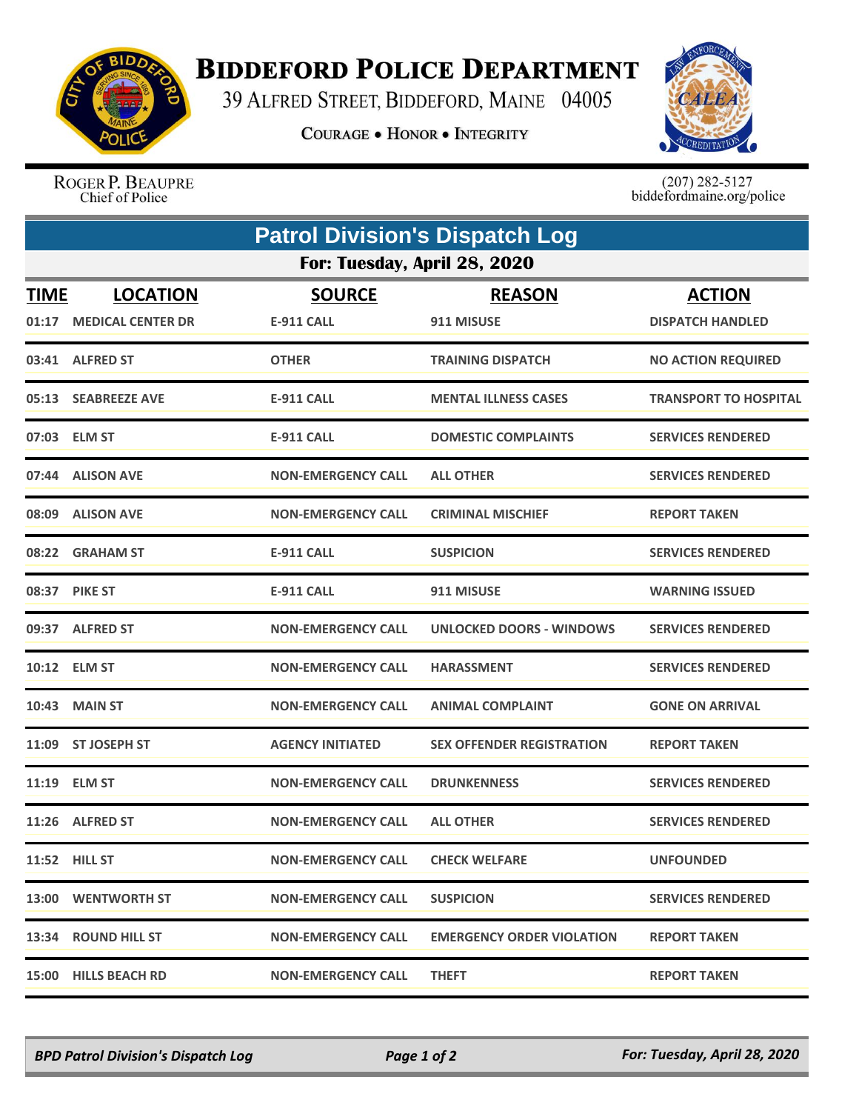

## **BIDDEFORD POLICE DEPARTMENT**

39 ALFRED STREET, BIDDEFORD, MAINE 04005

**COURAGE . HONOR . INTEGRITY** 



ROGER P. BEAUPRE Chief of Police

 $(207)$  282-5127<br>biddefordmaine.org/police

| <b>Patrol Division's Dispatch Log</b> |                         |                           |                                  |                           |  |  |  |
|---------------------------------------|-------------------------|---------------------------|----------------------------------|---------------------------|--|--|--|
| For: Tuesday, April 28, 2020          |                         |                           |                                  |                           |  |  |  |
| <b>TIME</b>                           | <b>LOCATION</b>         | <b>SOURCE</b>             | <b>REASON</b>                    | <b>ACTION</b>             |  |  |  |
|                                       | 01:17 MEDICAL CENTER DR | <b>E-911 CALL</b>         | 911 MISUSE                       | <b>DISPATCH HANDLED</b>   |  |  |  |
|                                       | 03:41 ALFRED ST         | <b>OTHER</b>              | <b>TRAINING DISPATCH</b>         | <b>NO ACTION REQUIRED</b> |  |  |  |
|                                       | 05:13 SEABREEZE AVE     | <b>E-911 CALL</b>         | <b>MENTAL ILLNESS CASES</b>      | TRANSPORT TO HOSPITAL     |  |  |  |
|                                       | 07:03 ELM ST            | <b>E-911 CALL</b>         | <b>DOMESTIC COMPLAINTS</b>       | <b>SERVICES RENDERED</b>  |  |  |  |
|                                       | 07:44 ALISON AVE        | <b>NON-EMERGENCY CALL</b> | <b>ALL OTHER</b>                 | <b>SERVICES RENDERED</b>  |  |  |  |
|                                       | 08:09 ALISON AVE        | <b>NON-EMERGENCY CALL</b> | <b>CRIMINAL MISCHIEF</b>         | <b>REPORT TAKEN</b>       |  |  |  |
|                                       | 08:22 GRAHAM ST         | <b>E-911 CALL</b>         | <b>SUSPICION</b>                 | <b>SERVICES RENDERED</b>  |  |  |  |
|                                       | 08:37 PIKE ST           | <b>E-911 CALL</b>         | 911 MISUSE                       | <b>WARNING ISSUED</b>     |  |  |  |
|                                       | 09:37 ALFRED ST         | <b>NON-EMERGENCY CALL</b> | <b>UNLOCKED DOORS - WINDOWS</b>  | <b>SERVICES RENDERED</b>  |  |  |  |
|                                       | 10:12 ELM ST            | <b>NON-EMERGENCY CALL</b> | <b>HARASSMENT</b>                | <b>SERVICES RENDERED</b>  |  |  |  |
| 10:43                                 | <b>MAIN ST</b>          | <b>NON-EMERGENCY CALL</b> | <b>ANIMAL COMPLAINT</b>          | <b>GONE ON ARRIVAL</b>    |  |  |  |
|                                       | 11:09 ST JOSEPH ST      | <b>AGENCY INITIATED</b>   | <b>SEX OFFENDER REGISTRATION</b> | <b>REPORT TAKEN</b>       |  |  |  |
|                                       | 11:19 ELM ST            | <b>NON-EMERGENCY CALL</b> | <b>DRUNKENNESS</b>               | <b>SERVICES RENDERED</b>  |  |  |  |
|                                       | 11:26 ALFRED ST         | <b>NON-EMERGENCY CALL</b> | <b>ALL OTHER</b>                 | <b>SERVICES RENDERED</b>  |  |  |  |
|                                       | <b>11:52 HILL ST</b>    | <b>NON-EMERGENCY CALL</b> | <b>CHECK WELFARE</b>             | <b>UNFOUNDED</b>          |  |  |  |
|                                       | 13:00 WENTWORTH ST      | <b>NON-EMERGENCY CALL</b> | <b>SUSPICION</b>                 | <b>SERVICES RENDERED</b>  |  |  |  |
|                                       | 13:34 ROUND HILL ST     | <b>NON-EMERGENCY CALL</b> | <b>EMERGENCY ORDER VIOLATION</b> | <b>REPORT TAKEN</b>       |  |  |  |
|                                       | 15:00 HILLS BEACH RD    | <b>NON-EMERGENCY CALL</b> | <b>THEFT</b>                     | <b>REPORT TAKEN</b>       |  |  |  |